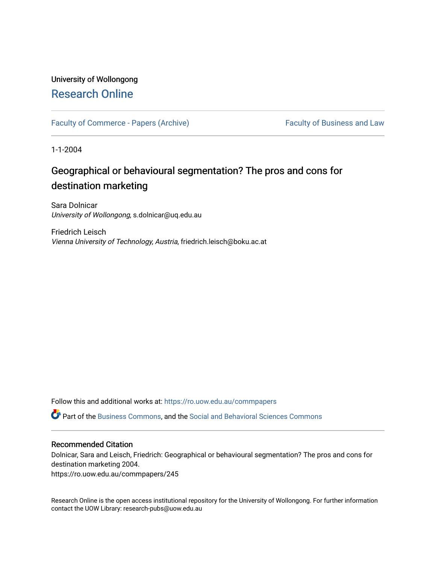## University of Wollongong [Research Online](https://ro.uow.edu.au/)

[Faculty of Commerce - Papers \(Archive\)](https://ro.uow.edu.au/commpapers) Faculty of Business and Law

1-1-2004

# Geographical or behavioural segmentation? The pros and cons for destination marketing

Sara Dolnicar University of Wollongong, s.dolnicar@uq.edu.au

Friedrich Leisch Vienna University of Technology, Austria, friedrich.leisch@boku.ac.at

Follow this and additional works at: [https://ro.uow.edu.au/commpapers](https://ro.uow.edu.au/commpapers?utm_source=ro.uow.edu.au%2Fcommpapers%2F245&utm_medium=PDF&utm_campaign=PDFCoverPages) 

Part of the [Business Commons](http://network.bepress.com/hgg/discipline/622?utm_source=ro.uow.edu.au%2Fcommpapers%2F245&utm_medium=PDF&utm_campaign=PDFCoverPages), and the [Social and Behavioral Sciences Commons](http://network.bepress.com/hgg/discipline/316?utm_source=ro.uow.edu.au%2Fcommpapers%2F245&utm_medium=PDF&utm_campaign=PDFCoverPages) 

#### Recommended Citation

Dolnicar, Sara and Leisch, Friedrich: Geographical or behavioural segmentation? The pros and cons for destination marketing 2004.

https://ro.uow.edu.au/commpapers/245

Research Online is the open access institutional repository for the University of Wollongong. For further information contact the UOW Library: research-pubs@uow.edu.au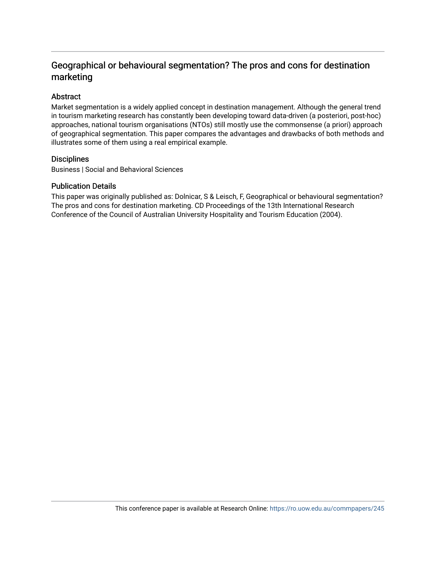## Geographical or behavioural segmentation? The pros and cons for destination marketing

### Abstract

Market segmentation is a widely applied concept in destination management. Although the general trend in tourism marketing research has constantly been developing toward data-driven (a posteriori, post-hoc) approaches, national tourism organisations (NTOs) still mostly use the commonsense (a priori) approach of geographical segmentation. This paper compares the advantages and drawbacks of both methods and illustrates some of them using a real empirical example.

#### **Disciplines**

Business | Social and Behavioral Sciences

#### Publication Details

This paper was originally published as: Dolnicar, S & Leisch, F, Geographical or behavioural segmentation? The pros and cons for destination marketing. CD Proceedings of the 13th International Research Conference of the Council of Australian University Hospitality and Tourism Education (2004).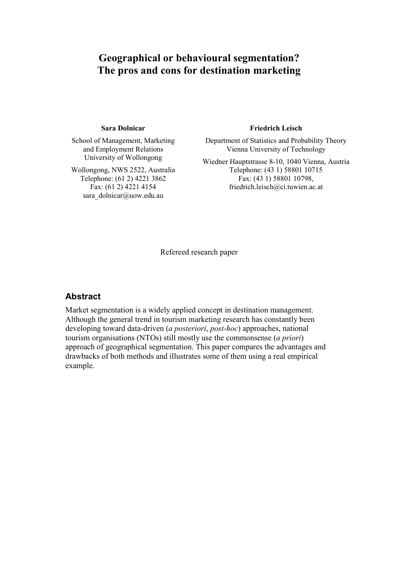# **Geographical or behavioural segmentation? The pros and cons for destination marketing**

#### **Sara Dolnicar**

School of Management, Marketing and Employment Relations University of Wollongong

Wollongong, NWS 2522, Australia Telephone: (61 2) 4221 3862 Fax: (61 2) 4221 4154 sara\_dolnicar@uow.edu.au

#### **Friedrich Leisch**

Department of Statistics and Probability Theory Vienna University of Technology

Wiedner Hauptstrasse 8-10, 1040 Vienna, Austria Telephone: (43 1) 58801 10715 Fax: (43 1) 58801 10798, friedrich.leisch@ci.tuwien.ac.at

Refereed research paper

### **Abstract**

Market segmentation is a widely applied concept in destination management. Although the general trend in tourism marketing research has constantly been developing toward data-driven (*a posteriori*, *post-hoc*) approaches, national tourism organisations (NTOs) still mostly use the commonsense (*a priori*) approach of geographical segmentation. This paper compares the advantages and drawbacks of both methods and illustrates some of them using a real empirical example.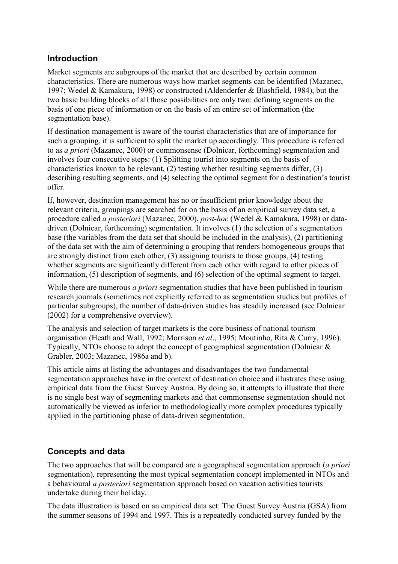## **Introduction**

Market segments are subgroups of the market that are described by certain common characteristics. There are numerous ways how market segments can be identified (Mazanec, 1997; Wedel & Kamakura, 1998) or constructed (Aldenderfer & Blashfield, 1984), but the two basic building blocks of all those possibilities are only two: defining segments on the basis of one piece of information or on the basis of an entire set of information (the segmentation base).

If destination management is aware of the tourist characteristics that are of importance for such a grouping, it is sufficient to split the market up accordingly. This procedure is referred to as *a priori* (Mazanec, 2000) or commonsense (Dolnicar, forthcoming) segmentation and involves four consecutive steps: (1) Splitting tourist into segments on the basis of characteristics known to be relevant, (2) testing whether resulting segments differ, (3) describing resulting segments, and (4) selecting the optimal segment for a destination's tourist offer.

If, however, destination management has no or insufficient prior knowledge about the relevant criteria, groupings are searched for on the basis of an empirical survey data set, a procedure called *a posteriori* (Mazanec, 2000), *post-hoc* (Wedel & Kamakura, 1998) or datadriven (Dolnicar, forthcoming) segmentation. It involves (1) the selection of s segmentation base (the variables from the data set that should be included in the analysis), (2) partitioning of the data set with the aim of determining a grouping that renders homogeneous groups that are strongly distinct from each other, (3) assigning tourists to those groups, (4) testing whether segments are significantly different from each other with regard to other pieces of information, (5) description of segments, and (6) selection of the optimal segment to target.

While there are numerous *a priori* segmentation studies that have been published in tourism research journals (sometimes not explicitly referred to as segmentation studies but profiles of particular subgroups), the number of data-driven studies has steadily increased (see Dolnicar (2002) for a comprehensive overview).

The analysis and selection of target markets is the core business of national tourism organisation (Heath and Wall, 1992; Morrison *et al*., 1995; Moutinho, Rita & Curry, 1996). Typically, NTOs choose to adopt the concept of geographical segmentation (Dolnicar & Grabler, 2003; Mazanec, 1986a and b).

This article aims at listing the advantages and disadvantages the two fundamental segmentation approaches have in the context of destination choice and illustrates these using empirical data from the Guest Survey Austria. By doing so, it attempts to illustrate that there is no single best way of segmenting markets and that commonsense segmentation should not automatically be viewed as inferior to methodologically more complex procedures typically applied in the partitioning phase of data-driven segmentation.

## **Concepts and data**

The two approaches that will be compared are a geographical segmentation approach (*a priori* segmentation), representing the most typical segmentation concept implemented in NTOs and a behavioural *a posteriori* segmentation approach based on vacation activities tourists undertake during their holiday.

The data illustration is based on an empirical data set: The Guest Survey Austria (GSA) from the summer seasons of 1994 and 1997. This is a repeatedly conducted survey funded by the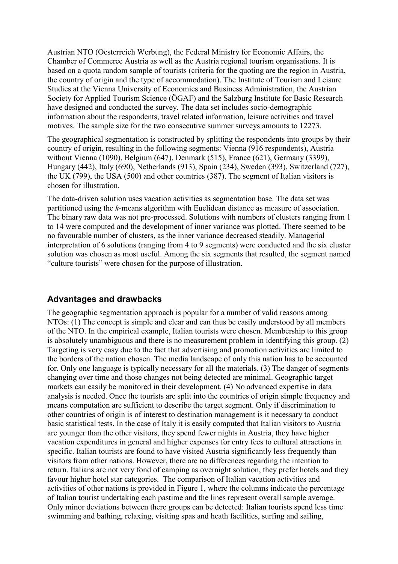Austrian NTO (Oesterreich Werbung), the Federal Ministry for Economic Affairs, the Chamber of Commerce Austria as well as the Austria regional tourism organisations. It is based on a quota random sample of tourists (criteria for the quoting are the region in Austria, the country of origin and the type of accommodation). The Institute of Tourism and Leisure Studies at the Vienna University of Economics and Business Administration, the Austrian Society for Applied Tourism Science (ÖGAF) and the Salzburg Institute for Basic Research have designed and conducted the survey. The data set includes socio-demographic information about the respondents, travel related information, leisure activities and travel motives. The sample size for the two consecutive summer surveys amounts to 12273.

The geographical segmentation is constructed by splitting the respondents into groups by their country of origin, resulting in the following segments: Vienna (916 respondents), Austria without Vienna (1090), Belgium (647), Denmark (515), France (621), Germany (3399), Hungary (442), Italy (690), Netherlands (913), Spain (234), Sweden (393), Switzerland (727), the UK (799), the USA (500) and other countries (387). The segment of Italian visitors is chosen for illustration.

The data-driven solution uses vacation activities as segmentation base. The data set was partitioned using the *k*-means algorithm with Euclidean distance as measure of association. The binary raw data was not pre-processed. Solutions with numbers of clusters ranging from 1 to 14 were computed and the development of inner variance was plotted. There seemed to be no favourable number of clusters, as the inner variance decreased steadily. Managerial interpretation of 6 solutions (ranging from 4 to 9 segments) were conducted and the six cluster solution was chosen as most useful. Among the six segments that resulted, the segment named "culture tourists" were chosen for the purpose of illustration.

### **Advantages and drawbacks**

The geographic segmentation approach is popular for a number of valid reasons among NTOs: (1) The concept is simple and clear and can thus be easily understood by all members of the NTO. In the empirical example, Italian tourists were chosen. Membership to this group is absolutely unambiguous and there is no measurement problem in identifying this group. (2) Targeting is very easy due to the fact that advertising and promotion activities are limited to the borders of the nation chosen. The media landscape of only this nation has to be accounted for. Only one language is typically necessary for all the materials. (3) The danger of segments changing over time and those changes not being detected are minimal. Geographic target markets can easily be monitored in their development. (4) No advanced expertise in data analysis is needed. Once the tourists are split into the countries of origin simple frequency and means computation are sufficient to describe the target segment. Only if discrimination to other countries of origin is of interest to destination management is it necessary to conduct basic statistical tests. In the case of Italy it is easily computed that Italian visitors to Austria are younger than the other visitors, they spend fewer nights in Austria, they have higher vacation expenditures in general and higher expenses for entry fees to cultural attractions in specific. Italian tourists are found to have visited Austria significantly less frequently than visitors from other nations. However, there are no differences regarding the intention to return. Italians are not very fond of camping as overnight solution, they prefer hotels and they favour higher hotel star categories. The comparison of Italian vacation activities and activities of other nations is provided in Figure 1, where the columns indicate the percentage of Italian tourist undertaking each pastime and the lines represent overall sample average. Only minor deviations between there groups can be detected: Italian tourists spend less time swimming and bathing, relaxing, visiting spas and heath facilities, surfing and sailing,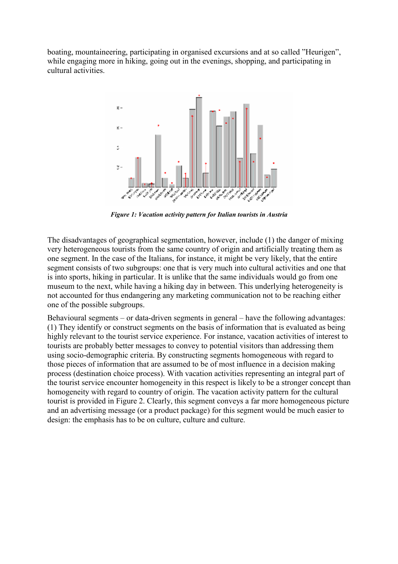boating, mountaineering, participating in organised excursions and at so called "Heurigen", while engaging more in hiking, going out in the evenings, shopping, and participating in cultural activities.



*Figure 1: Vacation activity pattern for Italian tourists in Austria* 

The disadvantages of geographical segmentation, however, include (1) the danger of mixing very heterogeneous tourists from the same country of origin and artificially treating them as one segment. In the case of the Italians, for instance, it might be very likely, that the entire segment consists of two subgroups: one that is very much into cultural activities and one that is into sports, hiking in particular. It is unlike that the same individuals would go from one museum to the next, while having a hiking day in between. This underlying heterogeneity is not accounted for thus endangering any marketing communication not to be reaching either one of the possible subgroups.

Behavioural segments – or data-driven segments in general – have the following advantages: (1) They identify or construct segments on the basis of information that is evaluated as being highly relevant to the tourist service experience. For instance, vacation activities of interest to tourists are probably better messages to convey to potential visitors than addressing them using socio-demographic criteria. By constructing segments homogeneous with regard to those pieces of information that are assumed to be of most influence in a decision making process (destination choice process). With vacation activities representing an integral part of the tourist service encounter homogeneity in this respect is likely to be a stronger concept than homogeneity with regard to country of origin. The vacation activity pattern for the cultural tourist is provided in Figure 2. Clearly, this segment conveys a far more homogeneous picture and an advertising message (or a product package) for this segment would be much easier to design: the emphasis has to be on culture, culture and culture.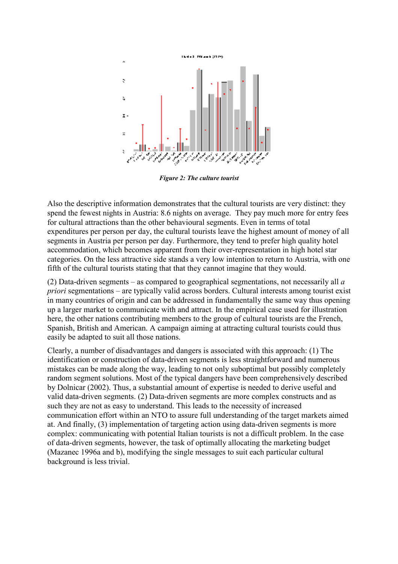

*Figure 2: The culture tourist* 

Also the descriptive information demonstrates that the cultural tourists are very distinct: they spend the fewest nights in Austria: 8.6 nights on average. They pay much more for entry fees for cultural attractions than the other behavioural segments. Even in terms of total expenditures per person per day, the cultural tourists leave the highest amount of money of all segments in Austria per person per day. Furthermore, they tend to prefer high quality hotel accommodation, which becomes apparent from their over-representation in high hotel star categories. On the less attractive side stands a very low intention to return to Austria, with one fifth of the cultural tourists stating that that they cannot imagine that they would.

(2) Data-driven segments – as compared to geographical segmentations, not necessarily all *a priori* segmentations – are typically valid across borders. Cultural interests among tourist exist in many countries of origin and can be addressed in fundamentally the same way thus opening up a larger market to communicate with and attract. In the empirical case used for illustration here, the other nations contributing members to the group of cultural tourists are the French, Spanish, British and American. A campaign aiming at attracting cultural tourists could thus easily be adapted to suit all those nations.

Clearly, a number of disadvantages and dangers is associated with this approach: (1) The identification or construction of data-driven segments is less straightforward and numerous mistakes can be made along the way, leading to not only suboptimal but possibly completely random segment solutions. Most of the typical dangers have been comprehensively described by Dolnicar (2002). Thus, a substantial amount of expertise is needed to derive useful and valid data-driven segments. (2) Data-driven segments are more complex constructs and as such they are not as easy to understand. This leads to the necessity of increased communication effort within an NTO to assure full understanding of the target markets aimed at. And finally, (3) implementation of targeting action using data-driven segments is more complex: communicating with potential Italian tourists is not a difficult problem. In the case of data-driven segments, however, the task of optimally allocating the marketing budget (Mazanec 1996a and b), modifying the single messages to suit each particular cultural background is less trivial.